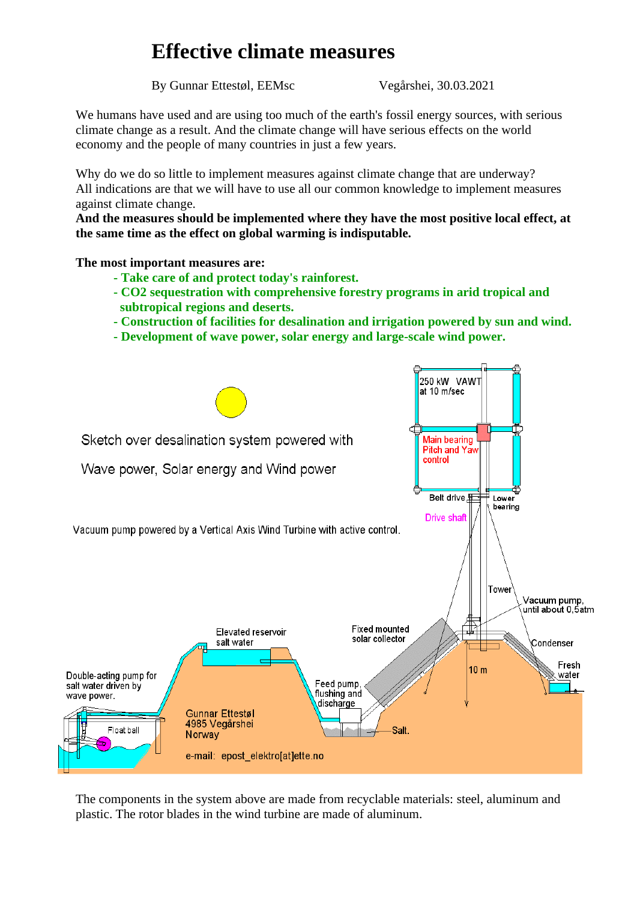# **Effective climate measures**

By Gunnar Ettestøl, EEMsc Vegårshei, 30.03.2021

We humans have used and are using too much of the earth's fossil energy sources, with serious climate change as a result. And the climate change will have serious effects on the world economy and the people of many countries in just a few years.

Why do we do so little to implement measures against climate change that are underway? All indications are that we will have to use all our common knowledge to implement measures against climate change.

**And the measures should be implemented where they have the most positive local effect, at the same time as the effect on global warming is indisputable.**

**The most important measures are:**

- **- Take care of and protect today's rainforest.**
- **- CO2 sequestration with comprehensive forestry programs in arid tropical and subtropical regions and deserts.**
- **- Construction of facilities for desalination and irrigation powered by sun and wind.**
- **- Development of wave power, solar energy and large-scale wind power.**



The components in the system above are made from recyclable materials: steel, aluminum and plastic. The rotor blades in the wind turbine are made of aluminum.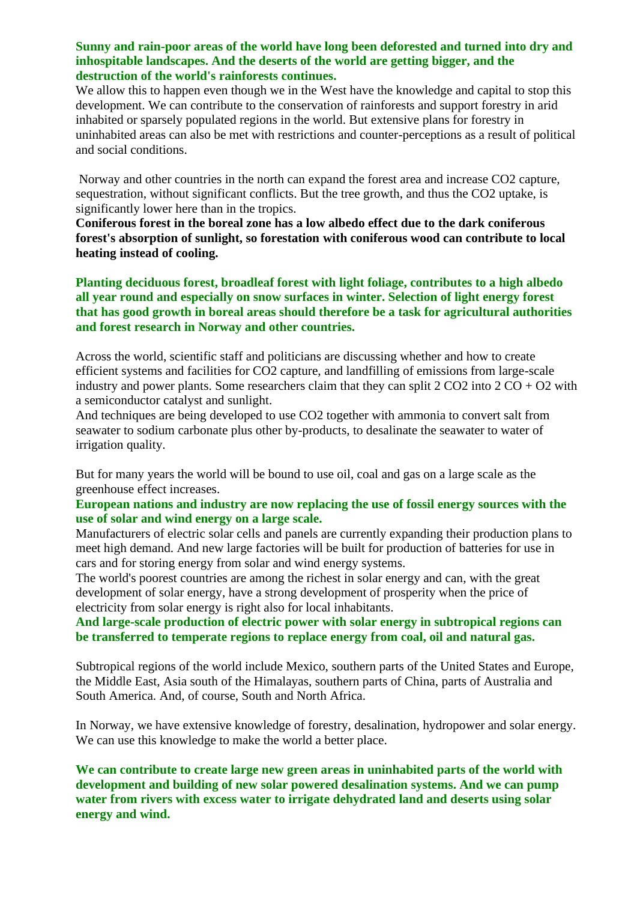# **Sunny and rain-poor areas of the world have long been deforested and turned into dry and inhospitable landscapes. And the deserts of the world are getting bigger, and the destruction of the world's rainforests continues.**

We allow this to happen even though we in the West have the knowledge and capital to stop this development. We can contribute to the conservation of rainforests and support forestry in arid inhabited or sparsely populated regions in the world. But extensive plans for forestry in uninhabited areas can also be met with restrictions and counter-perceptions as a result of political and social conditions.

Norway and other countries in the north can expand the forest area and increase CO2 capture, sequestration, without significant conflicts. But the tree growth, and thus the CO2 uptake, is significantly lower here than in the tropics.

**Coniferous forest in the boreal zone has a low albedo effect due to the dark coniferous forest's absorption of sunlight, so forestation with coniferous wood can contribute to local heating instead of cooling.** 

**Planting deciduous forest, broadleaf forest with light foliage, contributes to a high albedo all year round and especially on snow surfaces in winter. Selection of light energy forest that has good growth in boreal areas should therefore be a task for agricultural authorities and forest research in Norway and other countries.** 

Across the world, scientific staff and politicians are discussing whether and how to create efficient systems and facilities for CO2 capture, and landfilling of emissions from large-scale industry and power plants. Some researchers claim that they can split  $2 CO2$  into  $2 CO + O2$  with a semiconductor catalyst and sunlight.

And techniques are being developed to use CO2 together with ammonia to convert salt from seawater to sodium carbonate plus other by-products, to desalinate the seawater to water of irrigation quality.

But for many years the world will be bound to use oil, coal and gas on a large scale as the greenhouse effect increases.

# **European nations and industry are now replacing the use of fossil energy sources with the use of solar and wind energy on a large scale.**

Manufacturers of electric solar cells and panels are currently expanding their production plans to meet high demand. And new large factories will be built for production of batteries for use in cars and for storing energy from solar and wind energy systems.

The world's poorest countries are among the richest in solar energy and can, with the great development of solar energy, have a strong development of prosperity when the price of electricity from solar energy is right also for local inhabitants.

# **And large-scale production of electric power with solar energy in subtropical regions can be transferred to temperate regions to replace energy from coal, oil and natural gas.**

Subtropical regions of the world include Mexico, southern parts of the United States and Europe, the Middle East, Asia south of the Himalayas, southern parts of China, parts of Australia and South America. And, of course, South and North Africa.

In Norway, we have extensive knowledge of forestry, desalination, hydropower and solar energy. We can use this knowledge to make the world a better place.

**We can contribute to create large new green areas in uninhabited parts of the world with development and building of new solar powered desalination systems. And we can pump water from rivers with excess water to irrigate dehydrated land and deserts using solar energy and wind.**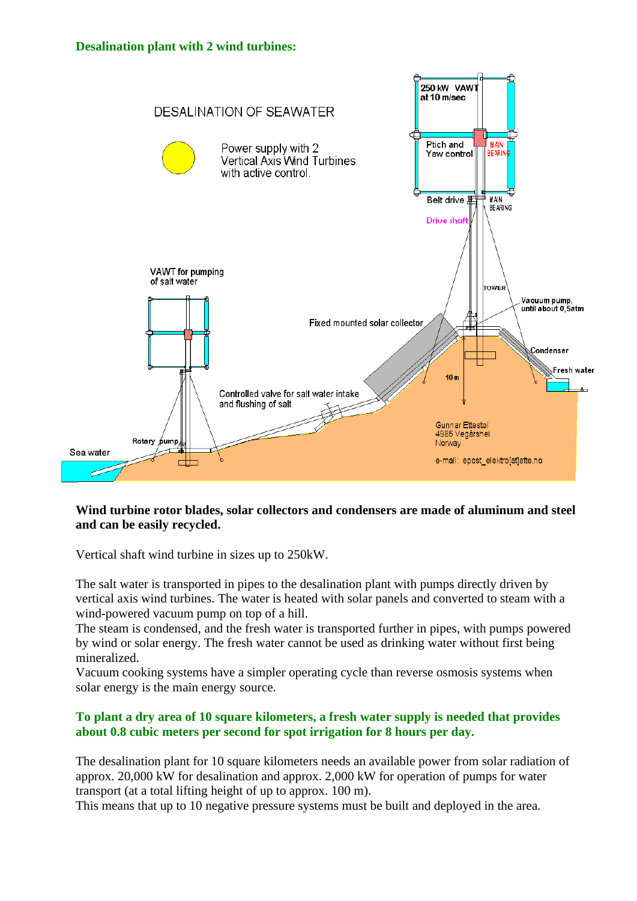#### **Desalination plant with 2 wind turbines:**



# **Wind turbine rotor blades, solar collectors and condensers are made of aluminum and steel and can be easily recycled.**

Vertical shaft wind turbine in sizes up to 250kW.

The salt water is transported in pipes to the desalination plant with pumps directly driven by vertical axis wind turbines. The water is heated with solar panels and converted to steam with a wind-powered vacuum pump on top of a hill.

The steam is condensed, and the fresh water is transported further in pipes, with pumps powered by wind or solar energy. The fresh water cannot be used as drinking water without first being mineralized.

Vacuum cooking systems have a simpler operating cycle than reverse osmosis systems when solar energy is the main energy source.

# **To plant a dry area of 10 square kilometers, a fresh water supply is needed that provides about 0.8 cubic meters per second for spot irrigation for 8 hours per day.**

The desalination plant for 10 square kilometers needs an available power from solar radiation of approx. 20,000 kW for desalination and approx. 2,000 kW for operation of pumps for water transport (at a total lifting height of up to approx. 100 m).

This means that up to 10 negative pressure systems must be built and deployed in the area.